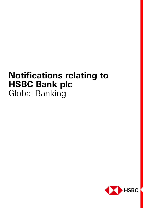# **Notifications relating to HSBC Bank plc**  Global Banking

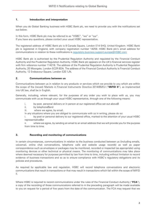#### **1. Introduction and interpretation**

When you do Global Banking business with HSBC Bank plc, we need to provide you with the notifications set out below.

In this form, HSBC Bank plc may be referred to as "HSBC", "we" or "our". If you have any questions, please contact your usual HSBC representative.

The registered address of HSBC Bank plc is 8 Canada Square, London E14 5HQ, United Kingdom. HSBC Bank plc is registered in England, with company registration number 14259. HSBC Bank plc's email address for communications in relation to these notifications is regulatory.business.support.europe@HSBC.com

HSBC Bank plc is authorised by the Prudential Regulation Authority and regulated by the Financial Conduct Authority and the Prudential Regulation Authority. HSBC Bank plc appears on the UK's financial services register with firm reference number 114216. The address of the Prudential Regulation Authority is Prudential Regulation Authority, 20 Moorgate, London EC2R 6DA. The address of the Financial Conduct Authority is Financial Conduct Authority, 12 Endeavour Square, London E20 1JN.

### **2. Communications between us**

Communications between us in relation to any products or services which we provide to you which are within the scope of the (recast) Markets in Financial Instruments Directive 2014/65/EU ("**MiFID II**"), as implemented into UK law, shall be in English.

Generally, including, where relevant, for the purposes of any order you wish to place with us, you may communicate with us as through your usual HSBC representative, through one of the following means:

- i. by post, personal delivery or in person at our registered office set out above;
- ii. by telephone; and
- iii. where we agree, by email.

In any situations where you are obliged to communicate with us in writing, please do so:

i. by post or personal delivery to our registered office, marked to the attention of your usual HSBC representative; or

ii. where we agree, by sending an email to an email address that we will provide you for the purpose from time to time.

# **3. Recording and monitoring of communications**

In certain circumstances, communications in relation to the business conducted between us (including emails, voicemail, online chat conversations, telephone calls and website usage records) as well as paper correspondence such as envelopes or packages may be monitored, recorded or inspected (as appropriate) using monitoring devices or other technical or physical means. The monitoring of communications may take place where deemed necessary for purposes permitted by law from time to time, including without limitation to record evidence of business transactions and so as to ensure compliance with HSBC's regulatory obligations and its policies and procedures.

As required by applicable law and regulation, HSBC will record telephone conversations and electronic communications that result in transactions or that may result in transactions which fall within the scope of MiFID II.

Where HSBC is required to record communications under the rules of the Financial Conduct Authority ("**FCA**"), a copy of the recording of those communications referred to in the preceding paragraph will be made available to you on request for a period of five years from the date of the communication. The FCA may request that we